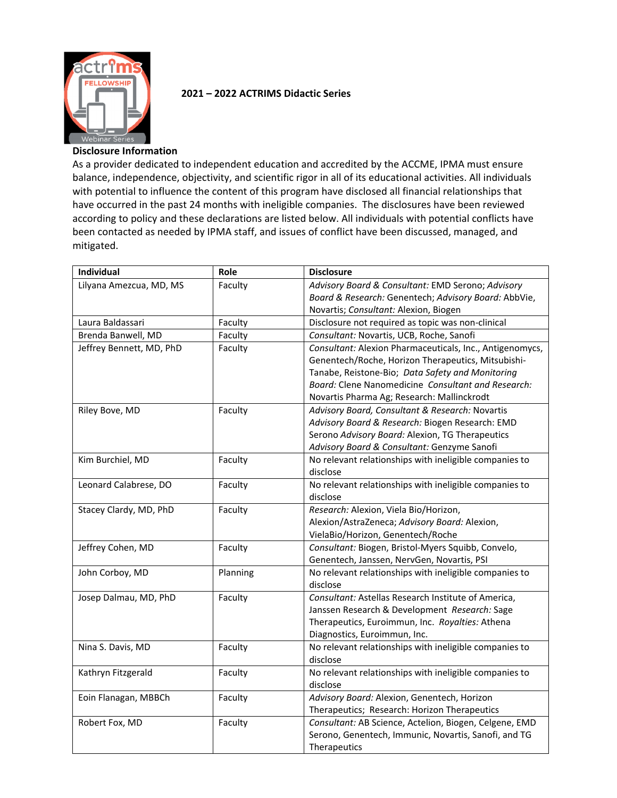

## **2021 – 2022 ACTRIMS Didactic Series**

## **Disclosure Information**

As a provider dedicated to independent education and accredited by the ACCME, IPMA must ensure balance, independence, objectivity, and scientific rigor in all of its educational activities. All individuals with potential to influence the content of this program have disclosed all financial relationships that have occurred in the past 24 months with ineligible companies. The disclosures have been reviewed according to policy and these declarations are listed below. All individuals with potential conflicts have been contacted as needed by IPMA staff, and issues of conflict have been discussed, managed, and mitigated.

| Individual               | Role     | <b>Disclosure</b>                                        |
|--------------------------|----------|----------------------------------------------------------|
| Lilyana Amezcua, MD, MS  | Faculty  | Advisory Board & Consultant: EMD Serono; Advisory        |
|                          |          | Board & Research: Genentech; Advisory Board: AbbVie,     |
|                          |          | Novartis; Consultant: Alexion, Biogen                    |
| Laura Baldassari         | Faculty  | Disclosure not required as topic was non-clinical        |
| Brenda Banwell, MD       | Faculty  | Consultant: Novartis, UCB, Roche, Sanofi                 |
| Jeffrey Bennett, MD, PhD | Faculty  | Consultant: Alexion Pharmaceuticals, Inc., Antigenomycs, |
|                          |          | Genentech/Roche, Horizon Therapeutics, Mitsubishi-       |
|                          |          | Tanabe, Reistone-Bio; Data Safety and Monitoring         |
|                          |          | Board: Clene Nanomedicine Consultant and Research:       |
|                          |          | Novartis Pharma Ag; Research: Mallinckrodt               |
| Riley Bove, MD           | Faculty  | Advisory Board, Consultant & Research: Novartis          |
|                          |          | Advisory Board & Research: Biogen Research: EMD          |
|                          |          | Serono Advisory Board: Alexion, TG Therapeutics          |
|                          |          | Advisory Board & Consultant: Genzyme Sanofi              |
| Kim Burchiel, MD         | Faculty  | No relevant relationships with ineligible companies to   |
|                          |          | disclose                                                 |
| Leonard Calabrese, DO    | Faculty  | No relevant relationships with ineligible companies to   |
|                          |          | disclose                                                 |
| Stacey Clardy, MD, PhD   | Faculty  | Research: Alexion, Viela Bio/Horizon,                    |
|                          |          | Alexion/AstraZeneca; Advisory Board: Alexion,            |
|                          |          | VielaBio/Horizon, Genentech/Roche                        |
| Jeffrey Cohen, MD        | Faculty  | Consultant: Biogen, Bristol-Myers Squibb, Convelo,       |
|                          |          | Genentech, Janssen, NervGen, Novartis, PSI               |
| John Corboy, MD          | Planning | No relevant relationships with ineligible companies to   |
|                          |          | disclose                                                 |
| Josep Dalmau, MD, PhD    | Faculty  | Consultant: Astellas Research Institute of America,      |
|                          |          | Janssen Research & Development Research: Sage            |
|                          |          | Therapeutics, Euroimmun, Inc. Royalties: Athena          |
|                          |          | Diagnostics, Euroimmun, Inc.                             |
| Nina S. Davis, MD        | Faculty  | No relevant relationships with ineligible companies to   |
|                          |          | disclose                                                 |
| Kathryn Fitzgerald       | Faculty  | No relevant relationships with ineligible companies to   |
|                          |          | disclose                                                 |
| Eoin Flanagan, MBBCh     | Faculty  | Advisory Board: Alexion, Genentech, Horizon              |
|                          |          | Therapeutics; Research: Horizon Therapeutics             |
| Robert Fox, MD           | Faculty  | Consultant: AB Science, Actelion, Biogen, Celgene, EMD   |
|                          |          | Serono, Genentech, Immunic, Novartis, Sanofi, and TG     |
|                          |          | Therapeutics                                             |